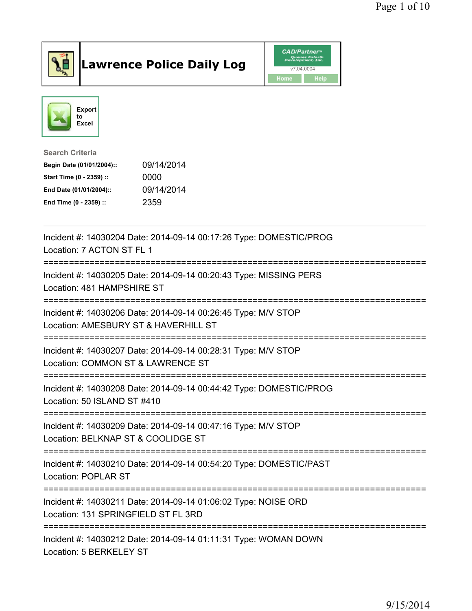

## Lawrence Police Daily Log Value of the CAD/Partner





## Search Criteria

| Begin Date (01/01/2004):: | 09/14/2014 |
|---------------------------|------------|
| Start Time (0 - 2359) ::  | 0000       |
| End Date (01/01/2004)::   | 09/14/2014 |
| End Time (0 - 2359) ::    | 2359       |

| Incident #: 14030204 Date: 2014-09-14 00:17:26 Type: DOMESTIC/PROG<br>Location: 7 ACTON ST FL 1                                   |
|-----------------------------------------------------------------------------------------------------------------------------------|
| Incident #: 14030205 Date: 2014-09-14 00:20:43 Type: MISSING PERS<br>Location: 481 HAMPSHIRE ST<br>:===========================   |
| Incident #: 14030206 Date: 2014-09-14 00:26:45 Type: M/V STOP<br>Location: AMESBURY ST & HAVERHILL ST                             |
| Incident #: 14030207 Date: 2014-09-14 00:28:31 Type: M/V STOP<br>Location: COMMON ST & LAWRENCE ST<br>-----------------           |
| Incident #: 14030208 Date: 2014-09-14 00:44:42 Type: DOMESTIC/PROG<br>Location: 50 ISLAND ST #410                                 |
| Incident #: 14030209 Date: 2014-09-14 00:47:16 Type: M/V STOP<br>Location: BELKNAP ST & COOLIDGE ST                               |
| Incident #: 14030210 Date: 2014-09-14 00:54:20 Type: DOMESTIC/PAST<br>Location: POPLAR ST<br>.----------------------------------- |
| Incident #: 14030211 Date: 2014-09-14 01:06:02 Type: NOISE ORD<br>Location: 131 SPRINGFIELD ST FL 3RD                             |
| Incident #: 14030212 Date: 2014-09-14 01:11:31 Type: WOMAN DOWN<br>Location: 5 BERKELEY ST                                        |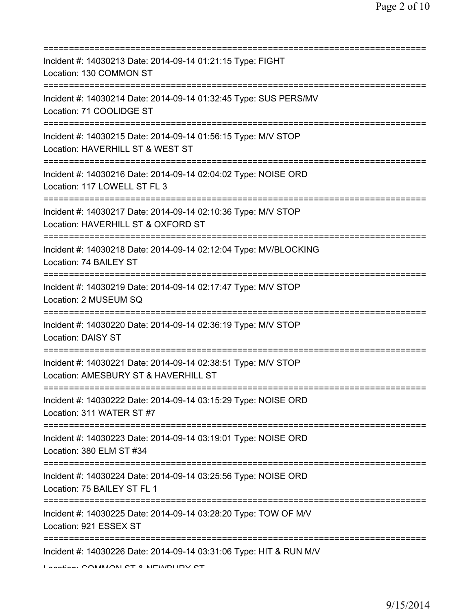| Incident #: 14030213 Date: 2014-09-14 01:21:15 Type: FIGHT<br>Location: 130 COMMON ST                                                                |
|------------------------------------------------------------------------------------------------------------------------------------------------------|
| Incident #: 14030214 Date: 2014-09-14 01:32:45 Type: SUS PERS/MV<br>Location: 71 COOLIDGE ST                                                         |
| Incident #: 14030215 Date: 2014-09-14 01:56:15 Type: M/V STOP<br>Location: HAVERHILL ST & WEST ST<br>=======================                         |
| Incident #: 14030216 Date: 2014-09-14 02:04:02 Type: NOISE ORD<br>Location: 117 LOWELL ST FL 3                                                       |
| Incident #: 14030217 Date: 2014-09-14 02:10:36 Type: M/V STOP<br>Location: HAVERHILL ST & OXFORD ST                                                  |
| Incident #: 14030218 Date: 2014-09-14 02:12:04 Type: MV/BLOCKING<br>Location: 74 BAILEY ST                                                           |
| Incident #: 14030219 Date: 2014-09-14 02:17:47 Type: M/V STOP<br>Location: 2 MUSEUM SQ                                                               |
| Incident #: 14030220 Date: 2014-09-14 02:36:19 Type: M/V STOP<br>Location: DAISY ST                                                                  |
| Incident #: 14030221 Date: 2014-09-14 02:38:51 Type: M/V STOP<br>Location: AMESBURY ST & HAVERHILL ST                                                |
| Incident #: 14030222 Date: 2014-09-14 03:15:29 Type: NOISE ORD<br>Location: 311 WATER ST #7                                                          |
| ===============<br>Incident #: 14030223 Date: 2014-09-14 03:19:01 Type: NOISE ORD<br>Location: 380 ELM ST #34                                        |
| Incident #: 14030224 Date: 2014-09-14 03:25:56 Type: NOISE ORD<br>Location: 75 BAILEY ST FL 1                                                        |
| Incident #: 14030225 Date: 2014-09-14 03:28:20 Type: TOW OF M/V<br>Location: 921 ESSEX ST                                                            |
| ===================================<br>Incident #: 14030226 Date: 2014-09-14 03:31:06 Type: HIT & RUN M/V<br>I continue COMMAONI CT 0 NIEMIDI IDV CT |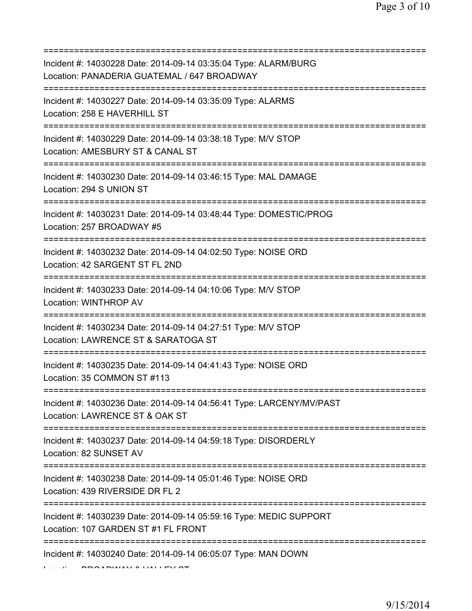| Incident #: 14030228 Date: 2014-09-14 03:35:04 Type: ALARM/BURG<br>Location: PANADERIA GUATEMAL / 647 BROADWAY<br>====================== |
|------------------------------------------------------------------------------------------------------------------------------------------|
| Incident #: 14030227 Date: 2014-09-14 03:35:09 Type: ALARMS<br>Location: 258 E HAVERHILL ST                                              |
| Incident #: 14030229 Date: 2014-09-14 03:38:18 Type: M/V STOP<br>Location: AMESBURY ST & CANAL ST<br>========================            |
| Incident #: 14030230 Date: 2014-09-14 03:46:15 Type: MAL DAMAGE<br>Location: 294 S UNION ST                                              |
| Incident #: 14030231 Date: 2014-09-14 03:48:44 Type: DOMESTIC/PROG<br>Location: 257 BROADWAY #5                                          |
| Incident #: 14030232 Date: 2014-09-14 04:02:50 Type: NOISE ORD<br>Location: 42 SARGENT ST FL 2ND<br>==================================== |
| Incident #: 14030233 Date: 2014-09-14 04:10:06 Type: M/V STOP<br>Location: WINTHROP AV                                                   |
| Incident #: 14030234 Date: 2014-09-14 04:27:51 Type: M/V STOP<br>Location: LAWRENCE ST & SARATOGA ST                                     |
| Incident #: 14030235 Date: 2014-09-14 04:41:43 Type: NOISE ORD<br>Location: 35 COMMON ST #113                                            |
| Incident #: 14030236 Date: 2014-09-14 04:56:41 Type: LARCENY/MV/PAST<br>Location: LAWRENCE ST & OAK ST                                   |
| Incident #: 14030237 Date: 2014-09-14 04:59:18 Type: DISORDERLY<br>Location: 82 SUNSET AV                                                |
| Incident #: 14030238 Date: 2014-09-14 05:01:46 Type: NOISE ORD<br>Location: 439 RIVERSIDE DR FL 2                                        |
| Incident #: 14030239 Date: 2014-09-14 05:59:16 Type: MEDIC SUPPORT<br>Location: 107 GARDEN ST #1 FL FRONT                                |
| Incident #: 14030240 Date: 2014-09-14 06:05:07 Type: MAN DOWN                                                                            |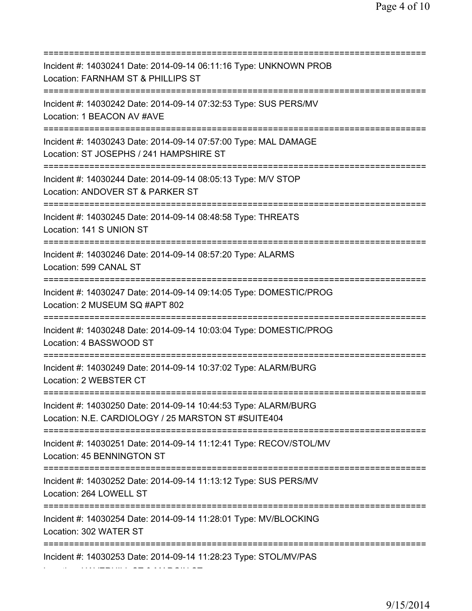| Incident #: 14030241 Date: 2014-09-14 06:11:16 Type: UNKNOWN PROB<br>Location: FARNHAM ST & PHILLIPS ST<br>=============================<br>:=========== |
|----------------------------------------------------------------------------------------------------------------------------------------------------------|
| Incident #: 14030242 Date: 2014-09-14 07:32:53 Type: SUS PERS/MV<br>Location: 1 BEACON AV #AVE                                                           |
| Incident #: 14030243 Date: 2014-09-14 07:57:00 Type: MAL DAMAGE<br>Location: ST JOSEPHS / 241 HAMPSHIRE ST                                               |
| Incident #: 14030244 Date: 2014-09-14 08:05:13 Type: M/V STOP<br>Location: ANDOVER ST & PARKER ST                                                        |
| Incident #: 14030245 Date: 2014-09-14 08:48:58 Type: THREATS<br>Location: 141 S UNION ST<br>================================                             |
| Incident #: 14030246 Date: 2014-09-14 08:57:20 Type: ALARMS<br>Location: 599 CANAL ST<br>==========================                                      |
| Incident #: 14030247 Date: 2014-09-14 09:14:05 Type: DOMESTIC/PROG<br>Location: 2 MUSEUM SQ #APT 802                                                     |
| Incident #: 14030248 Date: 2014-09-14 10:03:04 Type: DOMESTIC/PROG<br>Location: 4 BASSWOOD ST                                                            |
| Incident #: 14030249 Date: 2014-09-14 10:37:02 Type: ALARM/BURG<br>Location: 2 WEBSTER CT                                                                |
| Incident #: 14030250 Date: 2014-09-14 10:44:53 Type: ALARM/BURG<br>Location: N.E. CARDIOLOGY / 25 MARSTON ST #SUITE404                                   |
| Incident #: 14030251 Date: 2014-09-14 11:12:41 Type: RECOV/STOL/MV<br>Location: 45 BENNINGTON ST<br>======================================               |
| Incident #: 14030252 Date: 2014-09-14 11:13:12 Type: SUS PERS/MV<br>Location: 264 LOWELL ST                                                              |
| Incident #: 14030254 Date: 2014-09-14 11:28:01 Type: MV/BLOCKING<br>Location: 302 WATER ST                                                               |
| Incident #: 14030253 Date: 2014-09-14 11:28:23 Type: STOL/MV/PAS                                                                                         |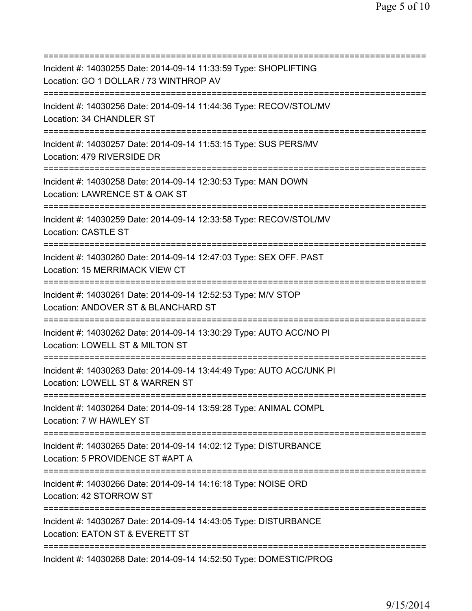=========================================================================== Incident #: 14030255 Date: 2014-09-14 11:33:59 Type: SHOPLIFTING Location: GO 1 DOLLAR / 73 WINTHROP AV =========================================================================== Incident #: 14030256 Date: 2014-09-14 11:44:36 Type: RECOV/STOL/MV Location: 34 CHANDLER ST =========================================================================== Incident #: 14030257 Date: 2014-09-14 11:53:15 Type: SUS PERS/MV Location: 479 RIVERSIDE DR =========================================================================== Incident #: 14030258 Date: 2014-09-14 12:30:53 Type: MAN DOWN Location: LAWRENCE ST & OAK ST =========================================================================== Incident #: 14030259 Date: 2014-09-14 12:33:58 Type: RECOV/STOL/MV Location: CASTLE ST =========================================================================== Incident #: 14030260 Date: 2014-09-14 12:47:03 Type: SEX OFF. PAST Location: 15 MERRIMACK VIEW CT =========================================================================== Incident #: 14030261 Date: 2014-09-14 12:52:53 Type: M/V STOP Location: ANDOVER ST & BLANCHARD ST =========================================================================== Incident #: 14030262 Date: 2014-09-14 13:30:29 Type: AUTO ACC/NO PI Location: LOWELL ST & MILTON ST =========================================================================== Incident #: 14030263 Date: 2014-09-14 13:44:49 Type: AUTO ACC/UNK PI Location: LOWELL ST & WARREN ST =========================================================================== Incident #: 14030264 Date: 2014-09-14 13:59:28 Type: ANIMAL COMPL Location: 7 W HAWLEY ST =========================================================================== Incident #: 14030265 Date: 2014-09-14 14:02:12 Type: DISTURBANCE Location: 5 PROVIDENCE ST #APT A =========================================================================== Incident #: 14030266 Date: 2014-09-14 14:16:18 Type: NOISE ORD Location: 42 STORROW ST =========================================================================== Incident #: 14030267 Date: 2014-09-14 14:43:05 Type: DISTURBANCE Location: EATON ST & EVERETT ST =========================================================================== Incident #: 14030268 Date: 2014-09-14 14:52:50 Type: DOMESTIC/PROG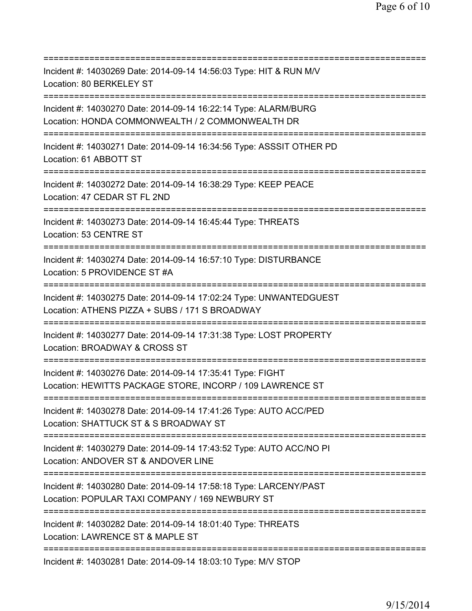| Incident #: 14030269 Date: 2014-09-14 14:56:03 Type: HIT & RUN M/V<br>Location: 80 BERKELEY ST<br>=====================================                 |
|---------------------------------------------------------------------------------------------------------------------------------------------------------|
| Incident #: 14030270 Date: 2014-09-14 16:22:14 Type: ALARM/BURG<br>Location: HONDA COMMONWEALTH / 2 COMMONWEALTH DR                                     |
| Incident #: 14030271 Date: 2014-09-14 16:34:56 Type: ASSSIT OTHER PD<br>Location: 61 ABBOTT ST<br>================================                      |
| Incident #: 14030272 Date: 2014-09-14 16:38:29 Type: KEEP PEACE<br>Location: 47 CEDAR ST FL 2ND                                                         |
| Incident #: 14030273 Date: 2014-09-14 16:45:44 Type: THREATS<br>Location: 53 CENTRE ST                                                                  |
| Incident #: 14030274 Date: 2014-09-14 16:57:10 Type: DISTURBANCE<br>Location: 5 PROVIDENCE ST #A                                                        |
| Incident #: 14030275 Date: 2014-09-14 17:02:24 Type: UNWANTEDGUEST<br>Location: ATHENS PIZZA + SUBS / 171 S BROADWAY                                    |
| Incident #: 14030277 Date: 2014-09-14 17:31:38 Type: LOST PROPERTY<br>Location: BROADWAY & CROSS ST                                                     |
| Incident #: 14030276 Date: 2014-09-14 17:35:41 Type: FIGHT<br>Location: HEWITTS PACKAGE STORE, INCORP / 109 LAWRENCE ST                                 |
| Incident #: 14030278 Date: 2014-09-14 17:41:26 Type: AUTO ACC/PED<br>Location: SHATTUCK ST & S BROADWAY ST<br>====================================      |
| Incident #: 14030279 Date: 2014-09-14 17:43:52 Type: AUTO ACC/NO PI<br>Location: ANDOVER ST & ANDOVER LINE<br>;=======================<br>============= |
| Incident #: 14030280 Date: 2014-09-14 17:58:18 Type: LARCENY/PAST<br>Location: POPULAR TAXI COMPANY / 169 NEWBURY ST                                    |
| Incident #: 14030282 Date: 2014-09-14 18:01:40 Type: THREATS<br>Location: LAWRENCE ST & MAPLE ST                                                        |
| Incident #: 14030281 Date: 2014-09-14 18:03:10 Type: M/V STOP                                                                                           |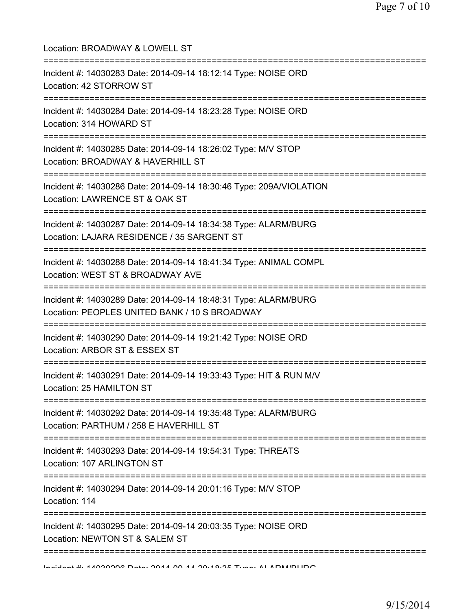| Location: BROADWAY & LOWELL ST<br>------------------------                                                         |
|--------------------------------------------------------------------------------------------------------------------|
| Incident #: 14030283 Date: 2014-09-14 18:12:14 Type: NOISE ORD<br>Location: 42 STORROW ST                          |
| Incident #: 14030284 Date: 2014-09-14 18:23:28 Type: NOISE ORD<br>Location: 314 HOWARD ST                          |
| Incident #: 14030285 Date: 2014-09-14 18:26:02 Type: M/V STOP<br>Location: BROADWAY & HAVERHILL ST                 |
| Incident #: 14030286 Date: 2014-09-14 18:30:46 Type: 209A/VIOLATION<br>Location: LAWRENCE ST & OAK ST              |
| Incident #: 14030287 Date: 2014-09-14 18:34:38 Type: ALARM/BURG<br>Location: LAJARA RESIDENCE / 35 SARGENT ST      |
| Incident #: 14030288 Date: 2014-09-14 18:41:34 Type: ANIMAL COMPL<br>Location: WEST ST & BROADWAY AVE              |
| Incident #: 14030289 Date: 2014-09-14 18:48:31 Type: ALARM/BURG<br>Location: PEOPLES UNITED BANK / 10 S BROADWAY   |
| Incident #: 14030290 Date: 2014-09-14 19:21:42 Type: NOISE ORD<br>Location: ARBOR ST & ESSEX ST                    |
| Incident #: 14030291 Date: 2014-09-14 19:33:43 Type: HIT & RUN M/V<br>Location: 25 HAMILTON ST                     |
| Incident #: 14030292 Date: 2014-09-14 19:35:48 Type: ALARM/BURG<br>Location: PARTHUM / 258 E HAVERHILL ST          |
| Incident #: 14030293 Date: 2014-09-14 19:54:31 Type: THREATS<br>Location: 107 ARLINGTON ST                         |
| --------------------------------<br>Incident #: 14030294 Date: 2014-09-14 20:01:16 Type: M/V STOP<br>Location: 114 |
| Incident #: 14030295 Date: 2014-09-14 20:03:35 Type: NOISE ORD<br>Location: NEWTON ST & SALEM ST                   |
| IndiAnt #: 14000000 Data: 0014 00 14 00:40:3E Tunn: ALADMADI IDO                                                   |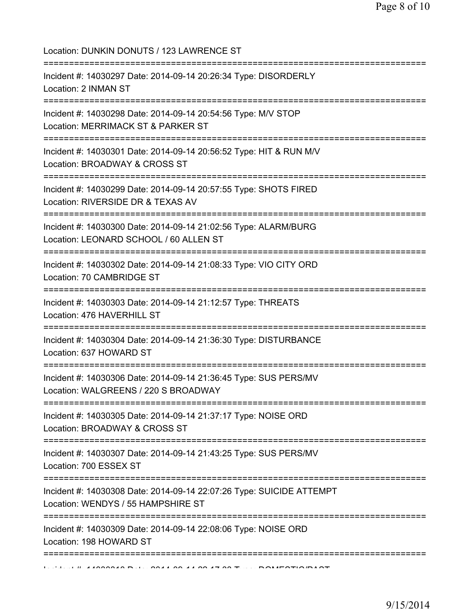Location: DUNKIN DONUTS / 123 LAWRENCE ST =========================================================================== Incident #: 14030297 Date: 2014-09-14 20:26:34 Type: DISORDERLY Location: 2 INMAN ST =========================================================================== Incident #: 14030298 Date: 2014-09-14 20:54:56 Type: M/V STOP Location: MERRIMACK ST & PARKER ST =========================================================================== Incident #: 14030301 Date: 2014-09-14 20:56:52 Type: HIT & RUN M/V Location: BROADWAY & CROSS ST =========================================================================== Incident #: 14030299 Date: 2014-09-14 20:57:55 Type: SHOTS FIRED Location: RIVERSIDE DR & TEXAS AV =========================================================================== Incident #: 14030300 Date: 2014-09-14 21:02:56 Type: ALARM/BURG Location: LEONARD SCHOOL / 60 ALLEN ST =========================================================================== Incident #: 14030302 Date: 2014-09-14 21:08:33 Type: VIO CITY ORD Location: 70 CAMBRIDGE ST =========================================================================== Incident #: 14030303 Date: 2014-09-14 21:12:57 Type: THREATS Location: 476 HAVERHILL ST =========================================================================== Incident #: 14030304 Date: 2014-09-14 21:36:30 Type: DISTURBANCE Location: 637 HOWARD ST =========================================================================== Incident #: 14030306 Date: 2014-09-14 21:36:45 Type: SUS PERS/MV Location: WALGREENS / 220 S BROADWAY =========================================================================== Incident #: 14030305 Date: 2014-09-14 21:37:17 Type: NOISE ORD Location: BROADWAY & CROSS ST =========================================================================== Incident #: 14030307 Date: 2014-09-14 21:43:25 Type: SUS PERS/MV Location: 700 ESSEX ST =========================================================================== Incident #: 14030308 Date: 2014-09-14 22:07:26 Type: SUICIDE ATTEMPT Location: WENDYS / 55 HAMPSHIRE ST =========================================================================== Incident #: 14030309 Date: 2014-09-14 22:08:06 Type: NOISE ORD Location: 198 HOWARD ST ===========================================================================  $11.410000010$  Date: 2014 09 14 20 17:30 Type: DOMESTIC/DAST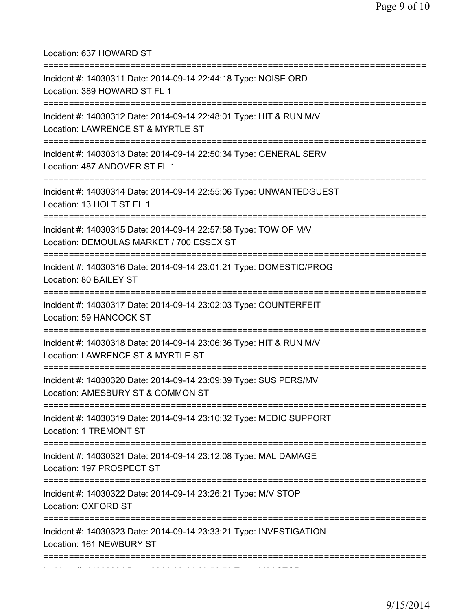Location: 637 HOWARD ST =========================================================================== Incident #: 14030311 Date: 2014-09-14 22:44:18 Type: NOISE ORD Location: 389 HOWARD ST FL 1 =========================================================================== Incident #: 14030312 Date: 2014-09-14 22:48:01 Type: HIT & RUN M/V Location: LAWRENCE ST & MYRTLE ST =========================================================================== Incident #: 14030313 Date: 2014-09-14 22:50:34 Type: GENERAL SERV Location: 487 ANDOVER ST FL 1 =========================================================================== Incident #: 14030314 Date: 2014-09-14 22:55:06 Type: UNWANTEDGUEST Location: 13 HOLT ST FL 1 =========================================================================== Incident #: 14030315 Date: 2014-09-14 22:57:58 Type: TOW OF M/V Location: DEMOULAS MARKET / 700 ESSEX ST =========================================================================== Incident #: 14030316 Date: 2014-09-14 23:01:21 Type: DOMESTIC/PROG Location: 80 BAILEY ST =========================================================================== Incident #: 14030317 Date: 2014-09-14 23:02:03 Type: COUNTERFEIT Location: 59 HANCOCK ST =========================================================================== Incident #: 14030318 Date: 2014-09-14 23:06:36 Type: HIT & RUN M/V Location: LAWRENCE ST & MYRTLE ST =========================================================================== Incident #: 14030320 Date: 2014-09-14 23:09:39 Type: SUS PERS/MV Location: AMESBURY ST & COMMON ST =========================================================================== Incident #: 14030319 Date: 2014-09-14 23:10:32 Type: MEDIC SUPPORT Location: 1 TREMONT ST =========================================================================== Incident #: 14030321 Date: 2014-09-14 23:12:08 Type: MAL DAMAGE Location: 197 PROSPECT ST =========================================================================== Incident #: 14030322 Date: 2014-09-14 23:26:21 Type: M/V STOP Location: OXFORD ST =========================================================================== Incident #: 14030323 Date: 2014-09-14 23:33:21 Type: INVESTIGATION Location: 161 NEWBURY ST =========================================================================== Incident #: 14030324 Date: 2014 09 14 23:56:58 Type: M/V STOP